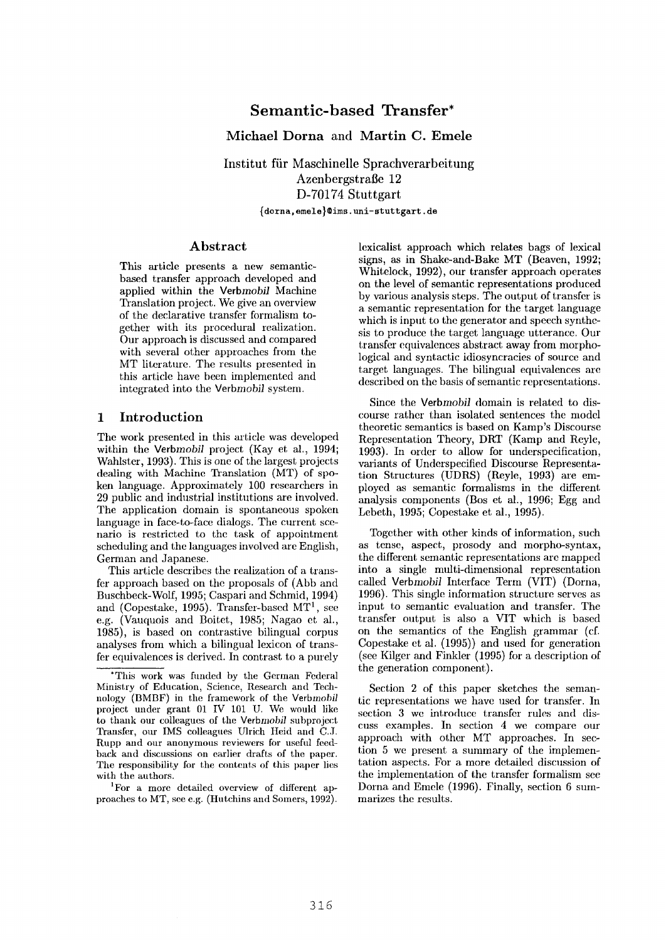# **Semantic-based Transfer\***

**Michael Dorna and Martin C. Emele** 

**Institut fiir Maschinelle Sprachverarbeitung**  Azenbergstraße 12 **D-70174** Stuttgart {dorna, emele} @ims. uni-stuttgart, de

#### **Abstract**

This article presents a new semanticbased transfer approach developed and applied within the *Verbmobil* Machine Translation project. We give an overview of the declarative transfer formalism together with its procedural realization. Our approach is discussed and compared with several other approaches from the MT literature. The results presented in this article have been implemented and integrated into the *Verbmobil* system.

### **1** Introduction

The work presented in this article was developed within the *Verbmobil* project (Kay et al., 1994; Wahlster, 1993). This is one of the largest projects dealing with Machine Translation (MT) of spoken language. Approximately 100 researchers in 29 public aad industrial institutions are involved. The application domain is spontaneous spoken language in face-to-face dialogs. The current scenario is restricted to the task of appointment scheduling and the languages involved are English, German and Japanese.

This article describes the realization of a transfer approach based on the proposals of (Abb and Buschbeck-Wolf, 1995; Caspari and Schmid, 1994) and (Copestake, 1995). Transfer-based  $MT<sup>1</sup>$ , see e.g. (Vauquois and Boitet, 1985; Nagao et al., 1985), is based on contrastive bilingual corpus analyses from which a bilingual lexicon of transfer equivalences is derived. In contrast to a purely

1For a more detailed overview of different approaches to MT, see e.g. (Hutchins and Somers, 1992).

lexicalist approach which relates bags of lexical signs, as in Shake-and-Bake MT (Beaven, 1992; Whitelock, 1992), our transfer approach operates on the level of semantic representations produced by various analysis steps. The output of transfer is a semantic representation for the target language which is input to the generator and speech synthesis to produce the target language utterance. Our transfer equivalences abstract away from morphological and syntactic idiosyncracies of source and target languages. The bilingual equivalences are described on the basis of semantic representations.

Since the *Verbmobil* domain is related to discourse rather than isolated sentences the model theoretic semantics is based on Kamp's Discourse Representation Theory, DRT (Kamp and Reyle, 1993). In order to allow for underspecification, variants of Underspecified Discourse Representation Structures (UDRS) (Reyle, 1993) are employed as semantic formalisms in the different analysis components (Bos et al., 1996; Egg and Lebeth, 1995; Copestake et al., 1995).

Together with other kinds of information, such as tense, aspect, prosody and morpho-syntax, the different semantic representations are mapped into a single multi-dimensional representation called Verbmobil Interface Term (VIT) (Dorna, 1996). This single information structure serves as input to semantic evaluation and transfer. The transfer output is also a VIT which is based on the semantics of the English grammar (el. Copestake et al. (1995)) and used for generation (see Kilger and Finkler (1995) for a description of the generation component).

Section 2 of this paper sketches the semantic representations we have used for transfer. In section 3 we introduce transfer rules and discuss examples. In section 4 we compare our approach with other MT approaches. In section 5 we present a summary of the implementation aspects. For a more detailed discussion of the implementation of the transfer formalism see Dorna and Emele (1996). Finally, section 6 summarizes the results.

<sup>\*</sup>This work was funded by the German Federal Ministry of Education, Science, Research and Technology (BMBF) in the framework of the *Verbmobil*  project under grant 01 IV 101 U. We would like to thank our colleagues of the *Verbmobil* subproject Transfer, our IMS colleagues Ulrich Heid and C.J. Rupp and our anonymous reviewers for useful feedback and discussions on earlier drafts of the paper. The responsibility for the contents of this paper lies with the authors.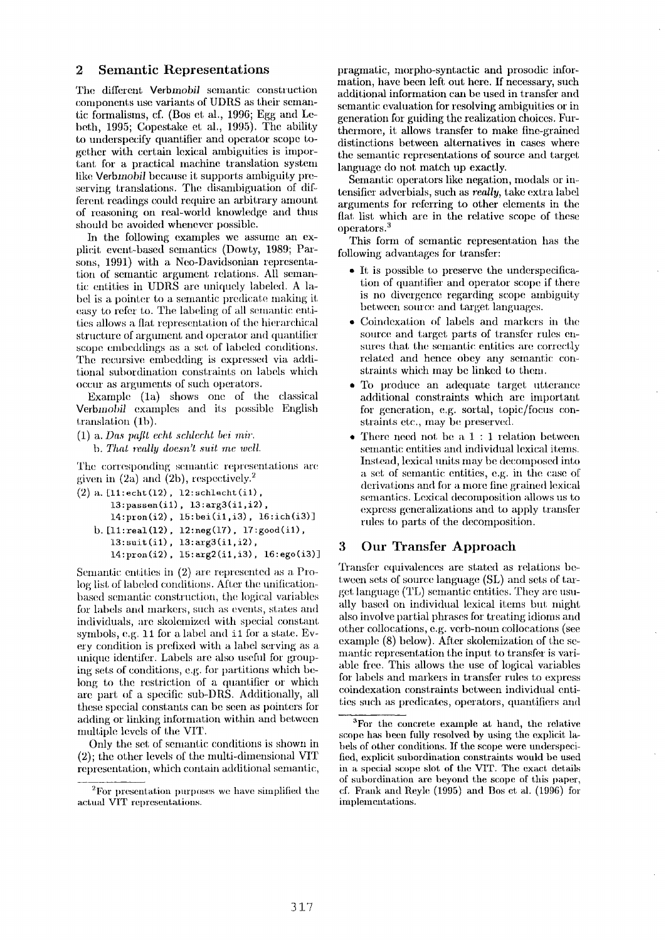### **2 Semantic Representations**

The different Verbmobil semantic construction components use variants of UDRS as their semantic formalisms, cf. (Bos et al., 1996; Egg and Lebeth, 1995; Copestake et al., 1995). The ability to underspecify quantifier and operator scope together with certain lexical ambiguities is impof tant for a practical machine translation system like *Verbmobil* because it supports ambiguity preserving translations. The disambiguation of different readings could require an arbitrary amount of reasoning on real-world knowledge and thus should be avoided whenever possible.

In the following examples we assume an explicit event-based semantics (Dowry, 1989; Parsons, 1991) with a Neo-Davidsonian representation of semantic argument relations. All semantic entities in UDRS are uniquely labeled. A label is a pointer to a semantic predicate nmking it easy to refer to. The labeling of all semantic entities allows a flat representation of the hierarchical structure of argument and operator and quantifier scope embeddings as a set of labeled conditions. The recursive embedding is expressed via additional subordination constraints on labels which occur as arguments of such operators.

Example (la) shows one of the classical *Verbmobil* examples and its possible English translation (1b).

(1) a. *Das paflt echt scMecht bei* 'mir. *b. That really doesn't suit me well.* 

The corresponding semantic representations are given in  $(2a)$  and  $(2b)$ , respectively.<sup>2</sup>

```
([2) a. [ll:echt(12), 12:schlecht(il), 
   13:passen(il), 13:arg3(il,i2), 
   14:pron(i2), 15:bei(il,i3), 16:ich(i3)] 
b. [ll:real(12), 12:neg(17), 17:good(il), 
   13:suit(il), 13:arg3(il,i2), 
   14:pron(i2), 15:arg2(il,i3), 16:ego(i3)]
```
Semantic entities in  $(2)$  are represented as a Prolog list of labeled conditions. After the unificationbased semantic construction, the logical variables for labels and nmrkers, such as events, states and individuals, are skolemized with special constant symbols, e.g.  $11$  for a label and  $11$  for a state. Every condition is prefixed with a label serving as a unique identifer. Labels are also useful for grouping sets of conditions, e.g. for partitions which belong to the restriction of a quantifier or which are part of a specific sub-DRS. Additionally, all these special constants can be seen as pointers for adding or linking information within and between multiple levels of the VIT.

Only the set of semantic conditions is shown in  $(2)$ ; the other levels of the multi-dimensional VIT representation, which contain additional semantic, pragmatic, morpho-syntactic and prosodic information, have been left out here. If necessary, such additional information can be used in transfer and semantic evaluation for resolving ambiguities or in generation for guiding the realization choices. Furthermore, it allows transfer to make fine-grained distinctions between alternatives in cases where **the** semantic representations of source mid target language do not match up exactly.

Semantic operators like negation, modals or intensitier adverbials, such as *really, take* extra label arguments for referring to other elements in the flat list which are in the relative scope of these operators.<sup>3</sup>

This form of semantic representation has the following adwmtages for transfer:

- $\bullet$  It is possible to preserve the underspecification of quantifier amd operator scope if there is no divergence regarding scope ambiguity between Sollrce and target languages.
- Coindexation of labels and markers in the source and target parts of transfer rules ensures that the semantic entities are correctly related and hence obey any semantic constraints which may be linked to them.
- To produce an adequate target utterance additional constraints which are important for generation, e.g. sortal, topic/focus constraints etc., may be preserved.
- \* There need not be a 1 : 1 relation between semantic entities and individual lexical items. Instead, lexical units may be decomposed into a set of semantic entities, e.g. in the case of derivations and for a more fine grained lexical semantics. Lexical decomposition allows us to express generalizations and to apply transfer rules to parts of the decomposition.

### **3 Our** Transfer Approach

Transfer equivalences are stated as relations between sets of source language (SL) and sets of target language (TL) semantic entities. They are usually based on individual lexical items but might also involve partial phrases for treating idioms and other collocations, e.g. verb-noun collocations (see example (8) below). After skolemization of the semantic representation the input to transfer is variable free. This allows the use of logical variables for labels and markers in transfer rules to express coindexation constraints between individual entities such as predicates, operators, quantifiers and

 $2F$  For presentation purposes we have simplified the actual VIT representations.

<sup>&</sup>lt;sup>3</sup>For the concrete example at hand, the relative scope has been fully resolved by using the explicit labels of other conditions. If the scope were underspecified, explicit subordination constraints would be used in a special scope slot of the VIT. The exact details of subordination are beyond the scope of this paper,  $cf.$  Frank and Reyle (1995) and Bos et al. (1996) for implementations.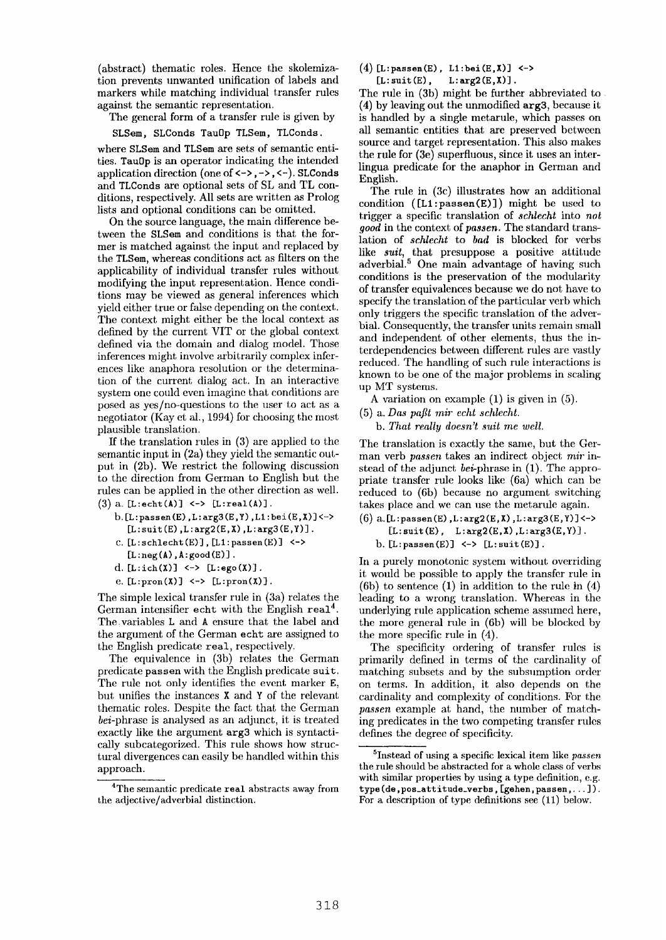(abstract) thematic roles. Hence the skolemization prevents unwanted unification of labels and markers while matching individual transfer rules against the semantic representation.

The general form of a transfer rule is given by

SLSem, SLConds Tau0p TLSem, TLConds.

where SLSem and TLSem are sets of semantic entities. Tau0p is an operator indicating the intended application direction (one of  $\langle - \rangle$ ,  $\langle - \rangle$ ,  $\langle - \rangle$ ). SLConds and TLConds are optional sets of SL and TL conditions, respectively. All sets are written as Prolog lists and optional conditions caa be omitted.

On the source language, the main difference between the SLSem and conditions is that the former is matched against the input and replaced by the TLSem, whereas conditions act as filters on the applicability of individual transfer rules without modifying the input representation. Hence conditions may be viewed as general inferences which yield either true or false depending on the context. The context might either be the local context as defined by the current VIT or the global context defined via the domain and dialog model. Those inferences might involve arbitrarily complex inferences like anaphora resolution or the determination of the current dialog act. In an interactive system one could even imagine that conditions are posed as  $\gamma$ es/no-questions to the user to act as a negotiator (Kay et al, 1994) for choosing the most plausible translation.

If the translation rules in  $(3)$  are applied to the semantic input in (2a) they yield the semantic output in (2b). We restrict the following discussion to the direction from German to English but the rules can be applied in the other direction as well. (3) a.  $[L:echt(A)] \iff [L:real(A)]$ .

- $b.[L: passen(E), L: arg3(E,Y), L1: bei(E,X)]<\rightarrow$  $[L:suit(E), L:arg2(E,X), L:arg3(E,Y)].$
- $c. [L:schlecht(E)], [L1:passen(E)]$   $\leftarrow$
- $[L:neg(A),A:good(E)].$
- d.  $[L:ich(X)] \iff [L:ego(X)].$
- e.  $[L:pron(X)] \iff [L:pron(X)].$

The simple lexical transfer rule in (3a) relates the German intensifier echt with the English real<sup>4</sup>. The:variables L and A ensure that the label and the argument of the German echt are assigned to the English predicate real, respectively.

The equivalence in (3b) relates the German predicate passen with the English predicate suit. The rule not only identifies the event marker E, but unifies the instances X and Y of the relevant thematic roles. Despite the fact that the German *bei-phrase* is analysed as an adjunct, it is treated exactly like the argument arg3 which is syntactically subcategorized. This rule shows how structural divergences can easily be handled within this approach.

<sup>4</sup>The semantic predicate real abstracts away from the adjective/adverbial distinction.

(4) [L:passen(E), L1:bei(E,X)] <->  $[L: suit(E), L: arg2(E,X)].$ 

The rule in (3b) might be further abbreviated to (4) by leaving out the unmodified arg3, because it is handled by a single metarule, which passes on all semantic entities that are preserved between source and target representation. This also makes the rule for (3e) superfluous, since it uses an interlingua predicate for the anaphor in German and English.

The rule in (3c) illustrates how an additional condition  $([L1:passen(E)])$  might be used to trigger a specific translation of *schleeht* into *not good* in the context of *passen*. The standard translation of *schlecht* to *bad* is blocked for verbs like *suit,* that presuppose a positive attitude adverbial.<sup>5</sup> One main advantage of having such conditions is the preservation of the modularity of transfer equivalences because we do not have to specify the translation of the particular verb which only triggers the specific translation of the adverbial. Consequently, the transfer units remain small and independent of other elements, thus the interdependencies between different rules are vastly reduced. The handling of such rule interactions is known to be one of the major problems in scaling up MT systems.

- A variation on example (1) is given in (5).
- (5) a. *Das paflt mir echt schleeht.* 
	- *b. That really doesn't suit me well.*

The translation is exactly the same, but the German verb *passen* takes an indirect object *mir in*stead of the adjunct bei-phrase in  $(1)$ . The appropriate transfer rule looks like (6a) which can be reduced to (6b) because no argument switching takes place and we can use the metarule again.

 $(6)$  a.[L:passen(E), L:arg2(E,X), L:arg3(E,Y)] <->  $[L: suit(E), L:arg2(E,X), L:arg3(E,Y)].$ b.  $[L:passen(E)] \iff [L:suit(E)].$ 

In a purely monotonic system without overriding it would be possible to apply the transfer rule in (6b) to sentence  $(1)$  in addition to the rule in  $(4)$ leading to a wrong translation. Whereas in the underlying rule application scheme assumed here, the more general rule in (6b) will be blocked by the more specific rule in (4).

The specificity ordering of transfer rules is primarily defined in terms of the cardinality of matching subsets and by the subsumption order on terms. In addition, it also depends on the cardinality and complexity of conditions. For the *passen* example at hand, the number of matching predicates in the two competing transfer rules defines the degree of specificity.

<sup>~</sup>Instead of using a specific lexical item like *passen*  the rule should be abstracted for a whole class of verbs with similar properties by using a type definition, e.g. **type (de, pos\_att itude\_verbs, [gehen, passen .... ]** ). For a description of type definitions see (11) below.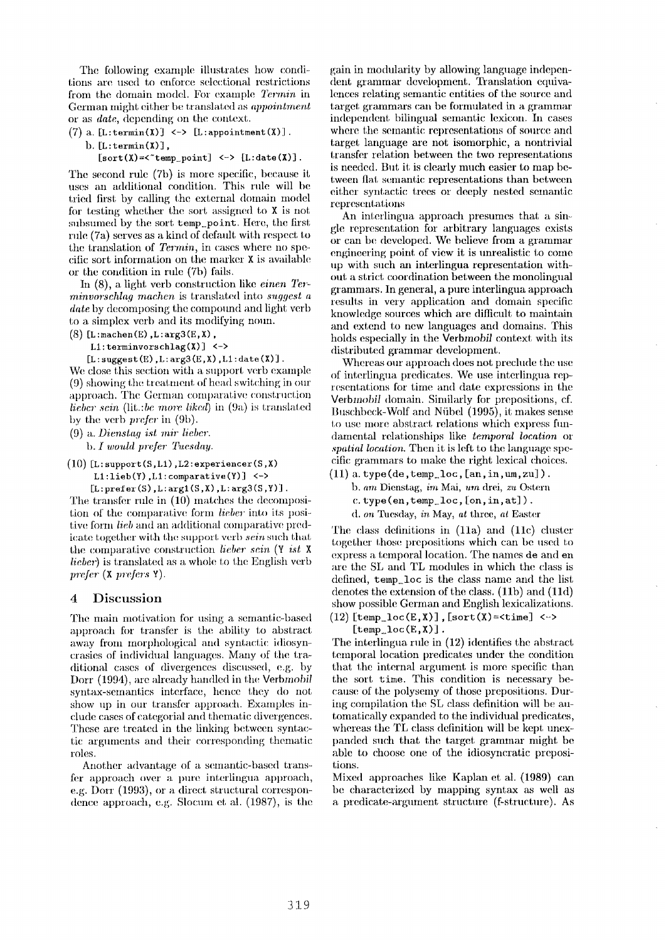The following example illustrates how conditions are used to enforce selectional restrictions from the domain model. For example *Termin* in German might either be translal;ed as *appointment*  or as *date,* depending on the context.

(7) a.  $[L:termin(X)] \iff [L:appendintnent(X)].$ 

**b. [L : terrain (X) ],** 

 $[sort(X)=<^*temp\_point] <~> [L:date(X)].$ 

The second rule (7b) is more specific, because it uses an additional condition. This rule will be tried first by calling the external domain model for testing whether the sort assigned to  $X$  is not subsumed by the sort temp\_point. Here, the first rule (7a) serves as a kind of default with respect to the translation of *Terrain,* in cases where no specific sort information on the marker  $X$  is available or the condition in rule  $(7b)$  fails.

In (8), a light verb construction like *einen Terminvorschlag machen* is translated into *suggest a date* by decomposing the compound and light verb to a simplex verb and its modifying noun.

**(8) [L : machen (E) , L : arg3 (g, X) ,** 

**LI : terminvorschlag (X) ] <-> [L : sugge st (E) , L : arg3 (E, X), LI : date (X) ] .** 

We close this section with a support verb example (9) showing the treatment of head switching in our approach. The German comparative construction *lieber sein* (lit.:*be more liked*) in (9a) is translated

by the verb *prefer* in (9b).

(9) a. *Diensta9 ist air lieber.*  h. *[ would l, refer Tuesday.* 

 $(10)$  [L: support  $(S, L1)$ , L2:  $ext{ext{erimeter}}(S, X)$ 

**LI :lieb(Y) ,LI: comparative(Y)] <->**   $[L:prefer(S),L:arg1(S,X),L:arg3(S,Y)].$ 

The transfer rule in  $(10)$  matches the decomposition of the comparative form *lieber* into its positive form *lieb* and an additional comparative predicate together with the support verb  $\sin$  such that the comparative construction *lieber sein* (Y *ist* X *lieber*) is translated as a whole to the English verb *prefer* (x *prefers* Y).

#### **.4** Discussion

The main motivation for using a semantic-based approach for transfer is the ability to abstract away from morphological and syntactic idiosyncrasies of individual languages. Many of the traditional cases of divergences discussed, e.g. by Dorr (1994), are already handled in the **Verbmobil** syntax-semantics interface, hence they do not show up in our transfer approach. Examples include cases of categorial and thematic divergences. These are treated in the linking between syntactic arguments and their corresponding thematic roles.

Another advantage of a semantic-based transfer approach over a pure interlingua approach, e.g. Dorr (1993), or a direct structural correspondence approach, e.g. Slocum et al.  $(1987)$ , is the gain in modularity by allowing language independent grammar development. Translation equivalences relating semantic entities of the source and target grammars can be formulated in a grammar independent bilingual semantic lexicon. In cases where the semantic *representations* of source, and target language are not isomorphic, a nontrivial transfer relation between the two representations is needed. But it is clearly much easier to map between fiat semantic representations than between either syntactic trees or deeply nested semantic representations

An interlingua approach presumes that a single representation for arbitrary languages exists or can be developed. We believe from a grammar engineering point of view it is unrealistic to come **tip** with such aai interlingua representation without a strict coordination between the monolingual grammars. In general, a pure interlingua approach results in very application and domain specific knowledge sources which are difficult to maintain and extend to new languages and domains. This holds especially in the *Verbmobil* context with its distributed grammar development.

Whereas our approach does not preclude the use of interlingua predicates. We use interlingua representations for time and date expressions in the Verbmobil domain. Similarly for prepositions, cf. Buschbeck-Wolf and Niibel (1995), it makes sense to use more abstract relations which express fundmnental relationships like *temporal location* or *spatial location.* Then it is left to the language specific grammars to make the right lexical choices.

 $(11)$  a. type(de, temp loc,  $[an, in, um, zu]$ ). *b. am* Dienstag, *im* Mai, um drei, *zu* Ostern  $c. type(en, temp\_loc, [on, in, at]).$ *d. on Tuesday, in May, at three, at Easter* 

The class definitions in (11a) and (11c) cluster together those prepositions which can be used to express a temporal location. The names de and **en**  are the SL and TL modules in which the class is defined, temp loc is the class name and the list denotes the extension of the class. (11b) and (11d) show possible German and English lexicalizations. **(12) [temp\_loc(E,X)] , [sort(X)=<time]** <->

 $[temp\_loc(E,X)].$ 

The interlingua rule in (12) identifies the abstract temporal location predicates under the condition that the internal argument is more specific than the sort time. This condition is necessary because of the polysemy of those prepositions. During compilation the SL class definition will be automatically expanded to the individual predicates, whereas the TL class definition will be kept unexpanded such that the target grammar might be able to choose one of the idiosyncratic prepositions.

Mixed approaches like Kaplan et al. (1989) can be characterized by mapping syntax as well as a predicate-m'gument structure (f-structure). As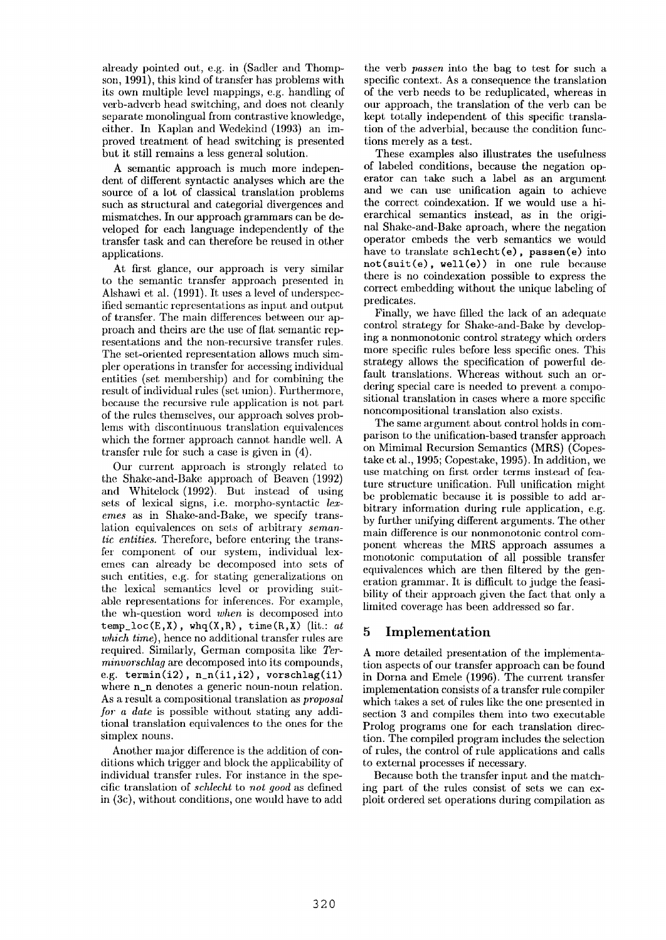already pointed out, e.g. in (Sadler and Thompson, 1991), this kind of transfer has problems with its own multiple level mappings, e.g. handling of verb-adverb head switching, and does not cleanly separate monolingual from contrastive knowledge, either. In Kaplan and Wedekind (1993) an improved treatment of head switching is presented but it still remains a less general solution.

A semantic approach is much more independent of different syntactic analyses which axe the source of a lot of classical translation problems such as structural and categorial divergences and mismatches. In our approach grammars can be developed for each language independently of the transfer task and can therefore be reused in other applications.

At first glance, our approach is very similar to the semantic transfer approach presented in Alshawi et al. (1991). It uses a level of underspecified senmntic representations as input and output of transfer. The main differences between our approach and theirs are the use of flat semantic representations and the non-recursive transfer rules. The set-oriented representation allows much simpler operations in transfer for accessing individual entities (set membership) and for combining the result of individual rules (set union). Furthermore, because the recursive rule application is not part of the rules themselves, our approach solves problems with discontinuous translation equivalences which the former approach cannot handle well. A transfer rule for such a case is given in (4).

Our current approach is strongly related to the Shake-and-Bake approach of Beaven (1992) and Whitclock (1992). But instead of using sets of lexical signs, i.e. morpho-syntactic *lexemes as* in Shake-and-Bake, we specify translation cquivalences on sets of arbitrary *semantic entities.* Therefore, before entering the transfer component of our system, individual lexemes can already be decomposed into sets of such entities, e.g. for stating generalizations on the lexical semantics level or providing suitable representations for inferences. For example, the wh-question word *when* is decomposed into  $temp\_loc(E, X)$ ,  $whq(X,R)$ ,  $time(R, X)$  (lit.: *at which time),* hence no additional transfer rules are required. Similarly, German composita like *Terminvorschlag* are decomposed into its compounds, e.g. termin(i2),  $n_n(i1,i2)$ , vorschlag(i1) where n\_n denotes a generic noun-noun relation. As a result a compositional translation as *proposal for a date* is possible without stating any additional translation equivalences to the ones for the simplex nouns.

Another major difference is the addition of conditions which trigger and block the applicability of individual transfer rules. For instance in the specific translation of *schlecht* to *not good* as defined in (3c), without conditions, one would have to add

the verb *passen* into the bag to test for such a specific context. As a consequence the translation of the verb needs to be reduplicated, whereas in our approach, the translation of the verb can be kept totally independent of this specific translation of the adverbial, because the condition functions merely as a test.

These examples also illustrates the usefulness of labeled conditions, because the negation operator can take such a label as an argument and we can use unification again to achieve the correct coindexation. If we would use a hierarchical semantics instead, as in the original Shake-and-Bake aproach, where the negation operator embeds the verb semantics we would have to translate schlecht (e), passen(e) into not(suit(e), well(e)) in one rule because there is no coindexation possible to express the correct embedding without the unique labeling of predicates.

Finally, we have filled the lack of an adequate control strategy for Shake-and-Bake by developing a nonmonotonic control strategy which orders more specific rules before less specific ones. This strategy allows the specification of powerful default translations. Whereas without such an ordering special care is needed to prevent a compositional translation in cases where a more specific noncompositional translation also exists.

The same argument about control holds in comparison to the unification-based transfer approach on Mimimal Recursion Semantics (MRS) (Copestake et al., 1995; Copestake, 1995). In addition, we use matching on first order terms instead of feature structure unification. Full unification might be problematic because it is possible to add arbitrary information during rule application, e.g. by further unifying different arguments. The other main difference is our nonmonotonic control component whereas the MRS approach assumes a monotonic computation of all possible transfer equivalences which are then filtered by the generation grammar. It is difficult to judge the feasibility of their approach given the fact that only a limited coverage has been addressed so far.

## **<sup>5</sup>**Implementation

A more detailed presentation of the implementation aspects of our transfer approach can be found in Dorna and Emele (1996). The current transfer implementation consists of a transfer rule compiler which takes a set of rules likc the one presented in section 3 and compiles them into two executable Prolog programs one for each translation direction. The compiled program includes the selection of rules, the control of rule applications and calls to external processes if necessary.

Because both the transfer input and the matching part of the rules consist of sets we can exploit ordered set operations during compilation as